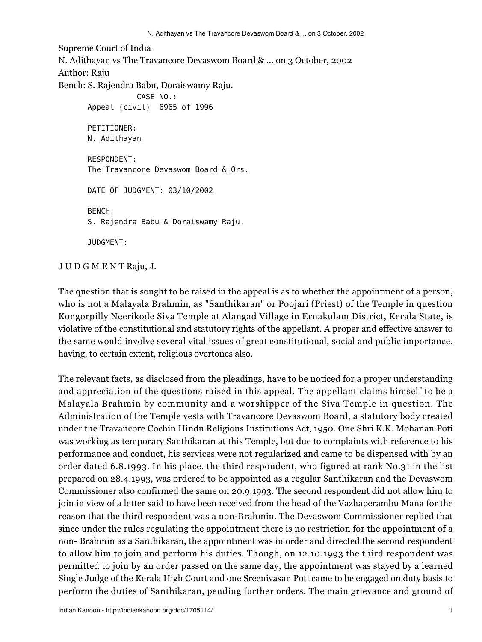Supreme Court of India N. Adithayan vs The Travancore Devaswom Board & ... on 3 October, 2002 Author: Raju Bench: S. Rajendra Babu, Doraiswamy Raju. CASE NO.: Appeal (civil) 6965 of 1996 PETITIONER: N. Adithayan RESPONDENT: The Travancore Devaswom Board & Ors. DATE OF JUDGMENT: 03/10/2002 BENCH: S. Rajendra Babu & Doraiswamy Raju. JUDGMENT:

J U D G M E N T Raju, J.

The question that is sought to be raised in the appeal is as to whether the appointment of a person, who is not a Malayala Brahmin, as "Santhikaran" or Poojari (Priest) of the Temple in question Kongorpilly Neerikode Siva Temple at Alangad Village in Ernakulam District, Kerala State, is violative of the constitutional and statutory rights of the appellant. A proper and effective answer to the same would involve several vital issues of great constitutional, social and public importance, having, to certain extent, religious overtones also.

The relevant facts, as disclosed from the pleadings, have to be noticed for a proper understanding and appreciation of the questions raised in this appeal. The appellant claims himself to be a Malayala Brahmin by community and a worshipper of the Siva Temple in question. The Administration of the Temple vests with Travancore Devaswom Board, a statutory body created under the Travancore Cochin Hindu Religious Institutions Act, 1950. One Shri K.K. Mohanan Poti was working as temporary Santhikaran at this Temple, but due to complaints with reference to his performance and conduct, his services were not regularized and came to be dispensed with by an order dated 6.8.1993. In his place, the third respondent, who figured at rank No.31 in the list prepared on 28.4.1993, was ordered to be appointed as a regular Santhikaran and the Devaswom Commissioner also confirmed the same on 20.9.1993. The second respondent did not allow him to join in view of a letter said to have been received from the head of the Vazhaperambu Mana for the reason that the third respondent was a non-Brahmin. The Devaswom Commissioner replied that since under the rules regulating the appointment there is no restriction for the appointment of a non- Brahmin as a Santhikaran, the appointment was in order and directed the second respondent to allow him to join and perform his duties. Though, on 12.10.1993 the third respondent was permitted to join by an order passed on the same day, the appointment was stayed by a learned Single Judge of the Kerala High Court and one Sreenivasan Poti came to be engaged on duty basis to perform the duties of Santhikaran, pending further orders. The main grievance and ground of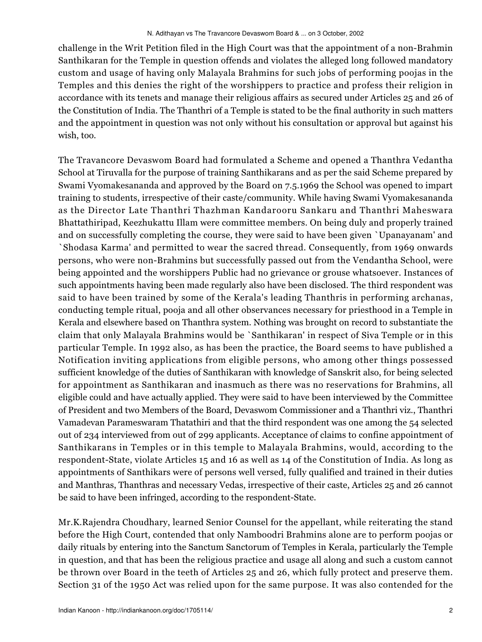challenge in the Writ Petition filed in the High Court was that the appointment of a non-Brahmin Santhikaran for the Temple in question offends and violates the alleged long followed mandatory custom and usage of having only Malayala Brahmins for such jobs of performing poojas in the Temples and this denies the right of the worshippers to practice and profess their religion in accordance with its tenets and manage their religious affairs as secured under Articles 25 and 26 of the Constitution of India. The Thanthri of a Temple is stated to be the final authority in such matters and the appointment in question was not only without his consultation or approval but against his wish, too.

The Travancore Devaswom Board had formulated a Scheme and opened a Thanthra Vedantha School at Tiruvalla for the purpose of training Santhikarans and as per the said Scheme prepared by Swami Vyomakesananda and approved by the Board on 7.5.1969 the School was opened to impart training to students, irrespective of their caste/community. While having Swami Vyomakesananda as the Director Late Thanthri Thazhman Kandarooru Sankaru and Thanthri Maheswara Bhattathiripad, Keezhukattu Illam were committee members. On being duly and properly trained and on successfully completing the course, they were said to have been given `Upanayanam' and `Shodasa Karma' and permitted to wear the sacred thread. Consequently, from 1969 onwards persons, who were non-Brahmins but successfully passed out from the Vendantha School, were being appointed and the worshippers Public had no grievance or grouse whatsoever. Instances of such appointments having been made regularly also have been disclosed. The third respondent was said to have been trained by some of the Kerala's leading Thanthris in performing archanas, conducting temple ritual, pooja and all other observances necessary for priesthood in a Temple in Kerala and elsewhere based on Thanthra system. Nothing was brought on record to substantiate the claim that only Malayala Brahmins would be `Santhikaran' in respect of Siva Temple or in this particular Temple. In 1992 also, as has been the practice, the Board seems to have published a Notification inviting applications from eligible persons, who among other things possessed sufficient knowledge of the duties of Santhikaran with knowledge of Sanskrit also, for being selected for appointment as Santhikaran and inasmuch as there was no reservations for Brahmins, all eligible could and have actually applied. They were said to have been interviewed by the Committee of President and two Members of the Board, Devaswom Commissioner and a Thanthri viz., Thanthri Vamadevan Parameswaram Thatathiri and that the third respondent was one among the 54 selected out of 234 interviewed from out of 299 applicants. Acceptance of claims to confine appointment of Santhikarans in Temples or in this temple to Malayala Brahmins, would, according to the respondent-State, violate Articles 15 and 16 as well as 14 of the Constitution of India. As long as appointments of Santhikars were of persons well versed, fully qualified and trained in their duties and Manthras, Thanthras and necessary Vedas, irrespective of their caste, Articles 25 and 26 cannot be said to have been infringed, according to the respondent-State.

Mr.K.Rajendra Choudhary, learned Senior Counsel for the appellant, while reiterating the stand before the High Court, contended that only Namboodri Brahmins alone are to perform poojas or daily rituals by entering into the Sanctum Sanctorum of Temples in Kerala, particularly the Temple in question, and that has been the religious practice and usage all along and such a custom cannot be thrown over Board in the teeth of Articles 25 and 26, which fully protect and preserve them. Section 31 of the 1950 Act was relied upon for the same purpose. It was also contended for the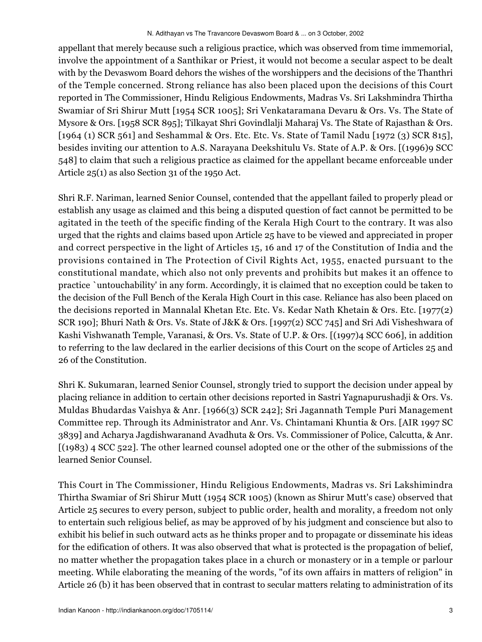appellant that merely because such a religious practice, which was observed from time immemorial, involve the appointment of a Santhikar or Priest, it would not become a secular aspect to be dealt with by the Devaswom Board dehors the wishes of the worshippers and the decisions of the Thanthri of the Temple concerned. Strong reliance has also been placed upon the decisions of this Court reported in The Commissioner, Hindu Religious Endowments, Madras Vs. Sri Lakshmindra Thirtha Swamiar of Sri Shirur Mutt [1954 SCR 1005]; Sri Venkataramana Devaru & Ors. Vs. The State of Mysore & Ors. [1958 SCR 895]; Tilkayat Shri Govindlalji Maharaj Vs. The State of Rajasthan & Ors. [1964 (1) SCR 561] and Seshammal & Ors. Etc. Etc. Vs. State of Tamil Nadu [1972 (3) SCR 815], besides inviting our attention to A.S. Narayana Deekshitulu Vs. State of A.P. & Ors. [(1996)9 SCC 548] to claim that such a religious practice as claimed for the appellant became enforceable under Article 25(1) as also Section 31 of the 1950 Act.

Shri R.F. Nariman, learned Senior Counsel, contended that the appellant failed to properly plead or establish any usage as claimed and this being a disputed question of fact cannot be permitted to be agitated in the teeth of the specific finding of the Kerala High Court to the contrary. It was also urged that the rights and claims based upon Article 25 have to be viewed and appreciated in proper and correct perspective in the light of Articles 15, 16 and 17 of the Constitution of India and the provisions contained in The Protection of Civil Rights Act, 1955, enacted pursuant to the constitutional mandate, which also not only prevents and prohibits but makes it an offence to practice `untouchability' in any form. Accordingly, it is claimed that no exception could be taken to the decision of the Full Bench of the Kerala High Court in this case. Reliance has also been placed on the decisions reported in Mannalal Khetan Etc. Etc. Vs. Kedar Nath Khetain & Ors. Etc. [1977(2) SCR 190]; Bhuri Nath & Ors. Vs. State of J&K & Ors. [1997(2) SCC 745] and Sri Adi Visheshwara of Kashi Vishwanath Temple, Varanasi, & Ors. Vs. State of U.P. & Ors. [(1997)4 SCC 606], in addition to referring to the law declared in the earlier decisions of this Court on the scope of Articles 25 and 26 of the Constitution.

Shri K. Sukumaran, learned Senior Counsel, strongly tried to support the decision under appeal by placing reliance in addition to certain other decisions reported in Sastri Yagnapurushadji & Ors. Vs. Muldas Bhudardas Vaishya & Anr. [1966(3) SCR 242]; Sri Jagannath Temple Puri Management Committee rep. Through its Administrator and Anr. Vs. Chintamani Khuntia & Ors. [AIR 1997 SC 3839] and Acharya Jagdishwaranand Avadhuta & Ors. Vs. Commissioner of Police, Calcutta, & Anr. [(1983) 4 SCC 522]. The other learned counsel adopted one or the other of the submissions of the learned Senior Counsel.

This Court in The Commissioner, Hindu Religious Endowments, Madras vs. Sri Lakshimindra Thirtha Swamiar of Sri Shirur Mutt (1954 SCR 1005) (known as Shirur Mutt's case) observed that Article 25 secures to every person, subject to public order, health and morality, a freedom not only to entertain such religious belief, as may be approved of by his judgment and conscience but also to exhibit his belief in such outward acts as he thinks proper and to propagate or disseminate his ideas for the edification of others. It was also observed that what is protected is the propagation of belief, no matter whether the propagation takes place in a church or monastery or in a temple or parlour meeting. While elaborating the meaning of the words, "of its own affairs in matters of religion" in Article 26 (b) it has been observed that in contrast to secular matters relating to administration of its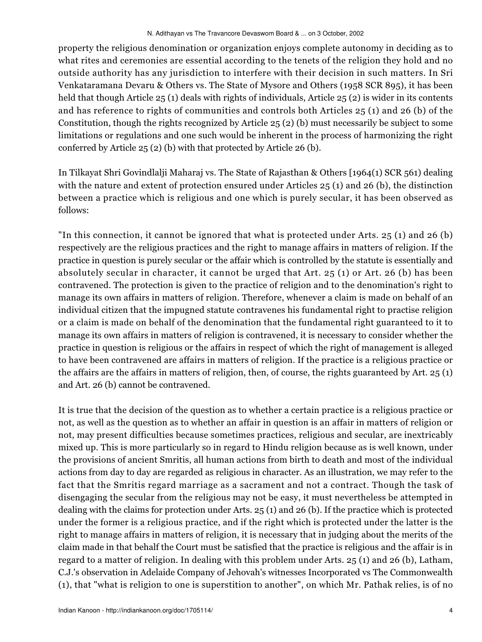property the religious denomination or organization enjoys complete autonomy in deciding as to what rites and ceremonies are essential according to the tenets of the religion they hold and no outside authority has any jurisdiction to interfere with their decision in such matters. In Sri Venkataramana Devaru & Others vs. The State of Mysore and Others (1958 SCR 895), it has been held that though Article 25 (1) deals with rights of individuals, Article 25 (2) is wider in its contents and has reference to rights of communities and controls both Articles 25 (1) and 26 (b) of the Constitution, though the rights recognized by Article 25 (2) (b) must necessarily be subject to some limitations or regulations and one such would be inherent in the process of harmonizing the right conferred by Article 25 (2) (b) with that protected by Article 26 (b).

In Tilkayat Shri Govindlalji Maharaj vs. The State of Rajasthan & Others [1964(1) SCR 561) dealing with the nature and extent of protection ensured under Articles 25 (1) and 26 (b), the distinction between a practice which is religious and one which is purely secular, it has been observed as follows:

"In this connection, it cannot be ignored that what is protected under Arts. 25 (1) and 26 (b) respectively are the religious practices and the right to manage affairs in matters of religion. If the practice in question is purely secular or the affair which is controlled by the statute is essentially and absolutely secular in character, it cannot be urged that Art. 25 (1) or Art. 26 (b) has been contravened. The protection is given to the practice of religion and to the denomination's right to manage its own affairs in matters of religion. Therefore, whenever a claim is made on behalf of an individual citizen that the impugned statute contravenes his fundamental right to practise religion or a claim is made on behalf of the denomination that the fundamental right guaranteed to it to manage its own affairs in matters of religion is contravened, it is necessary to consider whether the practice in question is religious or the affairs in respect of which the right of management is alleged to have been contravened are affairs in matters of religion. If the practice is a religious practice or the affairs are the affairs in matters of religion, then, of course, the rights guaranteed by Art. 25 (1) and Art. 26 (b) cannot be contravened.

It is true that the decision of the question as to whether a certain practice is a religious practice or not, as well as the question as to whether an affair in question is an affair in matters of religion or not, may present difficulties because sometimes practices, religious and secular, are inextricably mixed up. This is more particularly so in regard to Hindu religion because as is well known, under the provisions of ancient Smritis, all human actions from birth to death and most of the individual actions from day to day are regarded as religious in character. As an illustration, we may refer to the fact that the Smritis regard marriage as a sacrament and not a contract. Though the task of disengaging the secular from the religious may not be easy, it must nevertheless be attempted in dealing with the claims for protection under Arts. 25 (1) and 26 (b). If the practice which is protected under the former is a religious practice, and if the right which is protected under the latter is the right to manage affairs in matters of religion, it is necessary that in judging about the merits of the claim made in that behalf the Court must be satisfied that the practice is religious and the affair is in regard to a matter of religion. In dealing with this problem under Arts. 25 (1) and 26 (b), Latham, C.J.'s observation in Adelaide Company of Jehovah's witnesses Incorporated vs The Commonwealth (1), that "what is religion to one is superstition to another", on which Mr. Pathak relies, is of no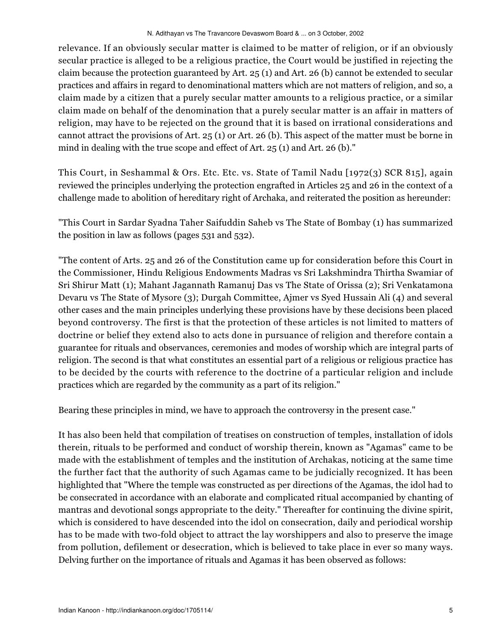relevance. If an obviously secular matter is claimed to be matter of religion, or if an obviously secular practice is alleged to be a religious practice, the Court would be justified in rejecting the claim because the protection guaranteed by Art. 25 (1) and Art. 26 (b) cannot be extended to secular practices and affairs in regard to denominational matters which are not matters of religion, and so, a claim made by a citizen that a purely secular matter amounts to a religious practice, or a similar claim made on behalf of the denomination that a purely secular matter is an affair in matters of religion, may have to be rejected on the ground that it is based on irrational considerations and cannot attract the provisions of Art. 25 (1) or Art. 26 (b). This aspect of the matter must be borne in mind in dealing with the true scope and effect of Art. 25 (1) and Art. 26 (b)."

This Court, in Seshammal & Ors. Etc. Etc. vs. State of Tamil Nadu [1972(3) SCR 815], again reviewed the principles underlying the protection engrafted in Articles 25 and 26 in the context of a challenge made to abolition of hereditary right of Archaka, and reiterated the position as hereunder:

"This Court in Sardar Syadna Taher Saifuddin Saheb vs The State of Bombay (1) has summarized the position in law as follows (pages 531 and 532).

"The content of Arts. 25 and 26 of the Constitution came up for consideration before this Court in the Commissioner, Hindu Religious Endowments Madras vs Sri Lakshmindra Thirtha Swamiar of Sri Shirur Matt (1); Mahant Jagannath Ramanuj Das vs The State of Orissa (2); Sri Venkatamona Devaru vs The State of Mysore (3); Durgah Committee, Ajmer vs Syed Hussain Ali (4) and several other cases and the main principles underlying these provisions have by these decisions been placed beyond controversy. The first is that the protection of these articles is not limited to matters of doctrine or belief they extend also to acts done in pursuance of religion and therefore contain a guarantee for rituals and observances, ceremonies and modes of worship which are integral parts of religion. The second is that what constitutes an essential part of a religious or religious practice has to be decided by the courts with reference to the doctrine of a particular religion and include practices which are regarded by the community as a part of its religion."

Bearing these principles in mind, we have to approach the controversy in the present case."

It has also been held that compilation of treatises on construction of temples, installation of idols therein, rituals to be performed and conduct of worship therein, known as "Agamas" came to be made with the establishment of temples and the institution of Archakas, noticing at the same time the further fact that the authority of such Agamas came to be judicially recognized. It has been highlighted that "Where the temple was constructed as per directions of the Agamas, the idol had to be consecrated in accordance with an elaborate and complicated ritual accompanied by chanting of mantras and devotional songs appropriate to the deity." Thereafter for continuing the divine spirit, which is considered to have descended into the idol on consecration, daily and periodical worship has to be made with two-fold object to attract the lay worshippers and also to preserve the image from pollution, defilement or desecration, which is believed to take place in ever so many ways. Delving further on the importance of rituals and Agamas it has been observed as follows: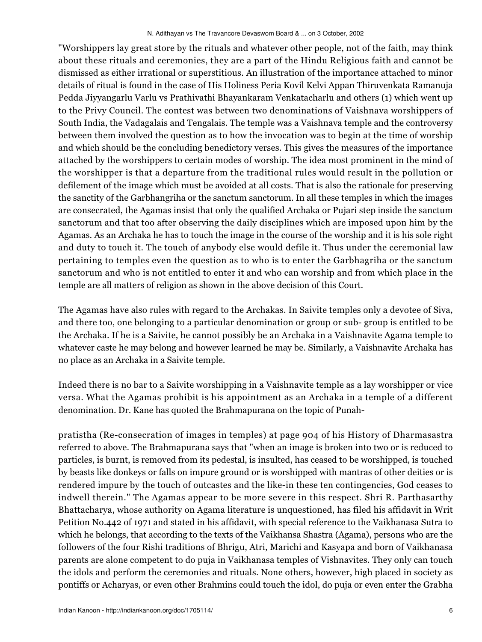"Worshippers lay great store by the rituals and whatever other people, not of the faith, may think about these rituals and ceremonies, they are a part of the Hindu Religious faith and cannot be dismissed as either irrational or superstitious. An illustration of the importance attached to minor details of ritual is found in the case of His Holiness Peria Kovil Kelvi Appan Thiruvenkata Ramanuja Pedda Jiyyangarlu Varlu vs Prathivathi Bhayankaram Venkatacharlu and others (1) which went up to the Privy Council. The contest was between two denominations of Vaishnava worshippers of South India, the Vadagalais and Tengalais. The temple was a Vaishnava temple and the controversy between them involved the question as to how the invocation was to begin at the time of worship and which should be the concluding benedictory verses. This gives the measures of the importance attached by the worshippers to certain modes of worship. The idea most prominent in the mind of the worshipper is that a departure from the traditional rules would result in the pollution or defilement of the image which must be avoided at all costs. That is also the rationale for preserving the sanctity of the Garbhangriha or the sanctum sanctorum. In all these temples in which the images are consecrated, the Agamas insist that only the qualified Archaka or Pujari step inside the sanctum sanctorum and that too after observing the daily disciplines which are imposed upon him by the Agamas. As an Archaka he has to touch the image in the course of the worship and it is his sole right and duty to touch it. The touch of anybody else would defile it. Thus under the ceremonial law pertaining to temples even the question as to who is to enter the Garbhagriha or the sanctum sanctorum and who is not entitled to enter it and who can worship and from which place in the temple are all matters of religion as shown in the above decision of this Court.

The Agamas have also rules with regard to the Archakas. In Saivite temples only a devotee of Siva, and there too, one belonging to a particular denomination or group or sub- group is entitled to be the Archaka. If he is a Saivite, he cannot possibly be an Archaka in a Vaishnavite Agama temple to whatever caste he may belong and however learned he may be. Similarly, a Vaishnavite Archaka has no place as an Archaka in a Saivite temple.

Indeed there is no bar to a Saivite worshipping in a Vaishnavite temple as a lay worshipper or vice versa. What the Agamas prohibit is his appointment as an Archaka in a temple of a different denomination. Dr. Kane has quoted the Brahmapurana on the topic of Punah-

pratistha (Re-consecration of images in temples) at page 904 of his History of Dharmasastra referred to above. The Brahmapurana says that "when an image is broken into two or is reduced to particles, is burnt, is removed from its pedestal, is insulted, has ceased to be worshipped, is touched by beasts like donkeys or falls on impure ground or is worshipped with mantras of other deities or is rendered impure by the touch of outcastes and the like-in these ten contingencies, God ceases to indwell therein." The Agamas appear to be more severe in this respect. Shri R. Parthasarthy Bhattacharya, whose authority on Agama literature is unquestioned, has filed his affidavit in Writ Petition No.442 of 1971 and stated in his affidavit, with special reference to the Vaikhanasa Sutra to which he belongs, that according to the texts of the Vaikhansa Shastra (Agama), persons who are the followers of the four Rishi traditions of Bhrigu, Atri, Marichi and Kasyapa and born of Vaikhanasa parents are alone competent to do puja in Vaikhanasa temples of Vishnavites. They only can touch the idols and perform the ceremonies and rituals. None others, however, high placed in society as pontiffs or Acharyas, or even other Brahmins could touch the idol, do puja or even enter the Grabha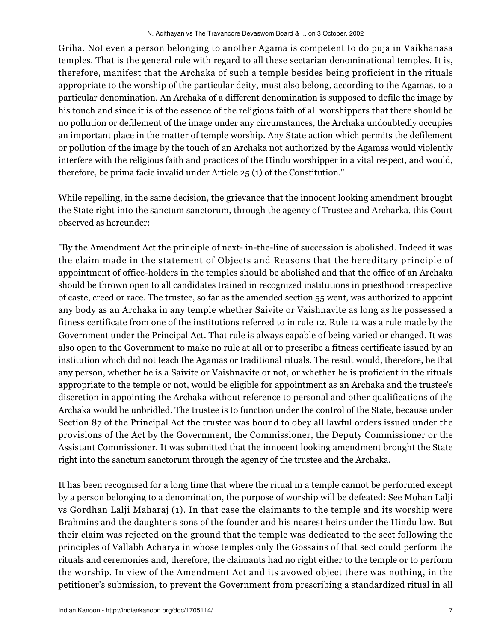Griha. Not even a person belonging to another Agama is competent to do puja in Vaikhanasa temples. That is the general rule with regard to all these sectarian denominational temples. It is, therefore, manifest that the Archaka of such a temple besides being proficient in the rituals appropriate to the worship of the particular deity, must also belong, according to the Agamas, to a particular denomination. An Archaka of a different denomination is supposed to defile the image by his touch and since it is of the essence of the religious faith of all worshippers that there should be no pollution or defilement of the image under any circumstances, the Archaka undoubtedly occupies an important place in the matter of temple worship. Any State action which permits the defilement or pollution of the image by the touch of an Archaka not authorized by the Agamas would violently interfere with the religious faith and practices of the Hindu worshipper in a vital respect, and would, therefore, be prima facie invalid under Article 25 (1) of the Constitution."

While repelling, in the same decision, the grievance that the innocent looking amendment brought the State right into the sanctum sanctorum, through the agency of Trustee and Archarka, this Court observed as hereunder:

"By the Amendment Act the principle of next- in-the-line of succession is abolished. Indeed it was the claim made in the statement of Objects and Reasons that the hereditary principle of appointment of office-holders in the temples should be abolished and that the office of an Archaka should be thrown open to all candidates trained in recognized institutions in priesthood irrespective of caste, creed or race. The trustee, so far as the amended section 55 went, was authorized to appoint any body as an Archaka in any temple whether Saivite or Vaishnavite as long as he possessed a fitness certificate from one of the institutions referred to in rule 12. Rule 12 was a rule made by the Government under the Principal Act. That rule is always capable of being varied or changed. It was also open to the Government to make no rule at all or to prescribe a fitness certificate issued by an institution which did not teach the Agamas or traditional rituals. The result would, therefore, be that any person, whether he is a Saivite or Vaishnavite or not, or whether he is proficient in the rituals appropriate to the temple or not, would be eligible for appointment as an Archaka and the trustee's discretion in appointing the Archaka without reference to personal and other qualifications of the Archaka would be unbridled. The trustee is to function under the control of the State, because under Section 87 of the Principal Act the trustee was bound to obey all lawful orders issued under the provisions of the Act by the Government, the Commissioner, the Deputy Commissioner or the Assistant Commissioner. It was submitted that the innocent looking amendment brought the State right into the sanctum sanctorum through the agency of the trustee and the Archaka.

It has been recognised for a long time that where the ritual in a temple cannot be performed except by a person belonging to a denomination, the purpose of worship will be defeated: See Mohan Lalji vs Gordhan Lalji Maharaj (1). In that case the claimants to the temple and its worship were Brahmins and the daughter's sons of the founder and his nearest heirs under the Hindu law. But their claim was rejected on the ground that the temple was dedicated to the sect following the principles of Vallabh Acharya in whose temples only the Gossains of that sect could perform the rituals and ceremonies and, therefore, the claimants had no right either to the temple or to perform the worship. In view of the Amendment Act and its avowed object there was nothing, in the petitioner's submission, to prevent the Government from prescribing a standardized ritual in all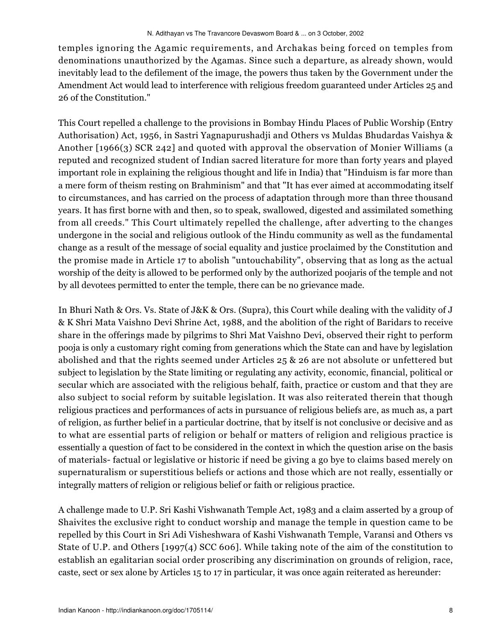temples ignoring the Agamic requirements, and Archakas being forced on temples from denominations unauthorized by the Agamas. Since such a departure, as already shown, would inevitably lead to the defilement of the image, the powers thus taken by the Government under the Amendment Act would lead to interference with religious freedom guaranteed under Articles 25 and 26 of the Constitution."

This Court repelled a challenge to the provisions in Bombay Hindu Places of Public Worship (Entry Authorisation) Act, 1956, in Sastri Yagnapurushadji and Others vs Muldas Bhudardas Vaishya & Another [1966(3) SCR 242] and quoted with approval the observation of Monier Williams (a reputed and recognized student of Indian sacred literature for more than forty years and played important role in explaining the religious thought and life in India) that "Hinduism is far more than a mere form of theism resting on Brahminism" and that "It has ever aimed at accommodating itself to circumstances, and has carried on the process of adaptation through more than three thousand years. It has first borne with and then, so to speak, swallowed, digested and assimilated something from all creeds." This Court ultimately repelled the challenge, after adverting to the changes undergone in the social and religious outlook of the Hindu community as well as the fundamental change as a result of the message of social equality and justice proclaimed by the Constitution and the promise made in Article 17 to abolish "untouchability", observing that as long as the actual worship of the deity is allowed to be performed only by the authorized poojaris of the temple and not by all devotees permitted to enter the temple, there can be no grievance made.

In Bhuri Nath & Ors. Vs. State of J&K & Ors. (Supra), this Court while dealing with the validity of J & K Shri Mata Vaishno Devi Shrine Act, 1988, and the abolition of the right of Baridars to receive share in the offerings made by pilgrims to Shri Mat Vaishno Devi, observed their right to perform pooja is only a customary right coming from generations which the State can and have by legislation abolished and that the rights seemed under Articles 25 & 26 are not absolute or unfettered but subject to legislation by the State limiting or regulating any activity, economic, financial, political or secular which are associated with the religious behalf, faith, practice or custom and that they are also subject to social reform by suitable legislation. It was also reiterated therein that though religious practices and performances of acts in pursuance of religious beliefs are, as much as, a part of religion, as further belief in a particular doctrine, that by itself is not conclusive or decisive and as to what are essential parts of religion or behalf or matters of religion and religious practice is essentially a question of fact to be considered in the context in which the question arise on the basis of materials- factual or legislative or historic if need be giving a go bye to claims based merely on supernaturalism or superstitious beliefs or actions and those which are not really, essentially or integrally matters of religion or religious belief or faith or religious practice.

A challenge made to U.P. Sri Kashi Vishwanath Temple Act, 1983 and a claim asserted by a group of Shaivites the exclusive right to conduct worship and manage the temple in question came to be repelled by this Court in Sri Adi Visheshwara of Kashi Vishwanath Temple, Varansi and Others vs State of U.P. and Others [1997(4) SCC 606]. While taking note of the aim of the constitution to establish an egalitarian social order proscribing any discrimination on grounds of religion, race, caste, sect or sex alone by Articles 15 to 17 in particular, it was once again reiterated as hereunder: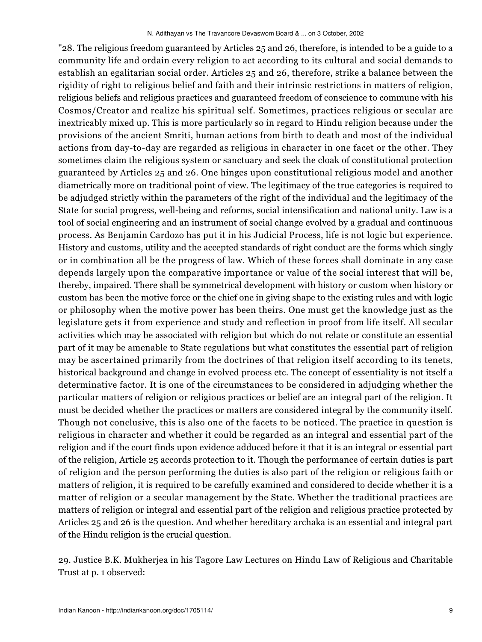"28. The religious freedom guaranteed by Articles 25 and 26, therefore, is intended to be a guide to a community life and ordain every religion to act according to its cultural and social demands to establish an egalitarian social order. Articles 25 and 26, therefore, strike a balance between the rigidity of right to religious belief and faith and their intrinsic restrictions in matters of religion, religious beliefs and religious practices and guaranteed freedom of conscience to commune with his Cosmos/Creator and realize his spiritual self. Sometimes, practices religious or secular are inextricably mixed up. This is more particularly so in regard to Hindu religion because under the provisions of the ancient Smriti, human actions from birth to death and most of the individual actions from day-to-day are regarded as religious in character in one facet or the other. They sometimes claim the religious system or sanctuary and seek the cloak of constitutional protection guaranteed by Articles 25 and 26. One hinges upon constitutional religious model and another diametrically more on traditional point of view. The legitimacy of the true categories is required to be adjudged strictly within the parameters of the right of the individual and the legitimacy of the State for social progress, well-being and reforms, social intensification and national unity. Law is a tool of social engineering and an instrument of social change evolved by a gradual and continuous process. As Benjamin Cardozo has put it in his Judicial Process, life is not logic but experience. History and customs, utility and the accepted standards of right conduct are the forms which singly or in combination all be the progress of law. Which of these forces shall dominate in any case depends largely upon the comparative importance or value of the social interest that will be, thereby, impaired. There shall be symmetrical development with history or custom when history or custom has been the motive force or the chief one in giving shape to the existing rules and with logic or philosophy when the motive power has been theirs. One must get the knowledge just as the legislature gets it from experience and study and reflection in proof from life itself. All secular activities which may be associated with religion but which do not relate or constitute an essential part of it may be amenable to State regulations but what constitutes the essential part of religion may be ascertained primarily from the doctrines of that religion itself according to its tenets, historical background and change in evolved process etc. The concept of essentiality is not itself a determinative factor. It is one of the circumstances to be considered in adjudging whether the particular matters of religion or religious practices or belief are an integral part of the religion. It must be decided whether the practices or matters are considered integral by the community itself. Though not conclusive, this is also one of the facets to be noticed. The practice in question is religious in character and whether it could be regarded as an integral and essential part of the religion and if the court finds upon evidence adduced before it that it is an integral or essential part of the religion, Article 25 accords protection to it. Though the performance of certain duties is part of religion and the person performing the duties is also part of the religion or religious faith or matters of religion, it is required to be carefully examined and considered to decide whether it is a matter of religion or a secular management by the State. Whether the traditional practices are matters of religion or integral and essential part of the religion and religious practice protected by Articles 25 and 26 is the question. And whether hereditary archaka is an essential and integral part of the Hindu religion is the crucial question.

29. Justice B.K. Mukherjea in his Tagore Law Lectures on Hindu Law of Religious and Charitable Trust at p. 1 observed: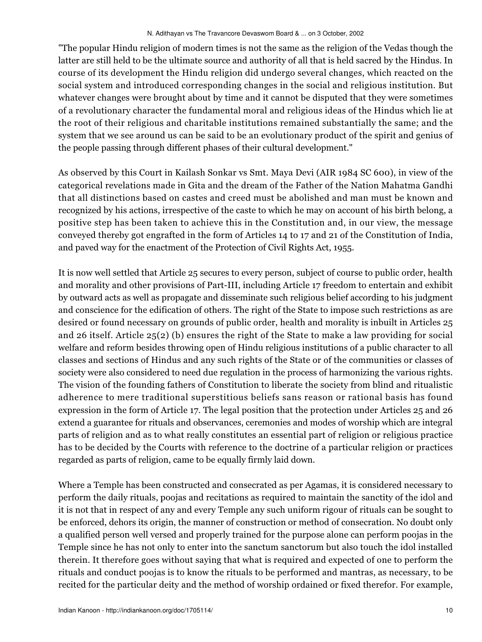"The popular Hindu religion of modern times is not the same as the religion of the Vedas though the latter are still held to be the ultimate source and authority of all that is held sacred by the Hindus. In course of its development the Hindu religion did undergo several changes, which reacted on the social system and introduced corresponding changes in the social and religious institution. But whatever changes were brought about by time and it cannot be disputed that they were sometimes of a revolutionary character the fundamental moral and religious ideas of the Hindus which lie at the root of their religious and charitable institutions remained substantially the same; and the system that we see around us can be said to be an evolutionary product of the spirit and genius of the people passing through different phases of their cultural development."

As observed by this Court in Kailash Sonkar vs Smt. Maya Devi (AIR 1984 SC 600), in view of the categorical revelations made in Gita and the dream of the Father of the Nation Mahatma Gandhi that all distinctions based on castes and creed must be abolished and man must be known and recognized by his actions, irrespective of the caste to which he may on account of his birth belong, a positive step has been taken to achieve this in the Constitution and, in our view, the message conveyed thereby got engrafted in the form of Articles 14 to 17 and 21 of the Constitution of India, and paved way for the enactment of the Protection of Civil Rights Act, 1955.

It is now well settled that Article 25 secures to every person, subject of course to public order, health and morality and other provisions of Part-III, including Article 17 freedom to entertain and exhibit by outward acts as well as propagate and disseminate such religious belief according to his judgment and conscience for the edification of others. The right of the State to impose such restrictions as are desired or found necessary on grounds of public order, health and morality is inbuilt in Articles 25 and 26 itself. Article 25(2) (b) ensures the right of the State to make a law providing for social welfare and reform besides throwing open of Hindu religious institutions of a public character to all classes and sections of Hindus and any such rights of the State or of the communities or classes of society were also considered to need due regulation in the process of harmonizing the various rights. The vision of the founding fathers of Constitution to liberate the society from blind and ritualistic adherence to mere traditional superstitious beliefs sans reason or rational basis has found expression in the form of Article 17. The legal position that the protection under Articles 25 and 26 extend a guarantee for rituals and observances, ceremonies and modes of worship which are integral parts of religion and as to what really constitutes an essential part of religion or religious practice has to be decided by the Courts with reference to the doctrine of a particular religion or practices regarded as parts of religion, came to be equally firmly laid down.

Where a Temple has been constructed and consecrated as per Agamas, it is considered necessary to perform the daily rituals, poojas and recitations as required to maintain the sanctity of the idol and it is not that in respect of any and every Temple any such uniform rigour of rituals can be sought to be enforced, dehors its origin, the manner of construction or method of consecration. No doubt only a qualified person well versed and properly trained for the purpose alone can perform poojas in the Temple since he has not only to enter into the sanctum sanctorum but also touch the idol installed therein. It therefore goes without saying that what is required and expected of one to perform the rituals and conduct poojas is to know the rituals to be performed and mantras, as necessary, to be recited for the particular deity and the method of worship ordained or fixed therefor. For example,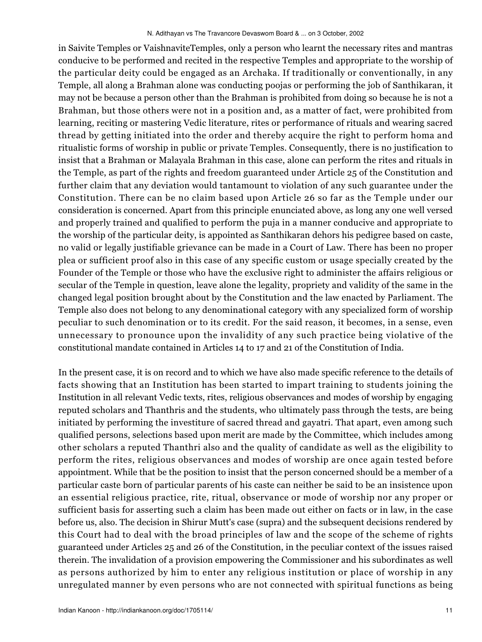in Saivite Temples or VaishnaviteTemples, only a person who learnt the necessary rites and mantras conducive to be performed and recited in the respective Temples and appropriate to the worship of the particular deity could be engaged as an Archaka. If traditionally or conventionally, in any Temple, all along a Brahman alone was conducting poojas or performing the job of Santhikaran, it may not be because a person other than the Brahman is prohibited from doing so because he is not a Brahman, but those others were not in a position and, as a matter of fact, were prohibited from learning, reciting or mastering Vedic literature, rites or performance of rituals and wearing sacred thread by getting initiated into the order and thereby acquire the right to perform homa and ritualistic forms of worship in public or private Temples. Consequently, there is no justification to insist that a Brahman or Malayala Brahman in this case, alone can perform the rites and rituals in the Temple, as part of the rights and freedom guaranteed under Article 25 of the Constitution and further claim that any deviation would tantamount to violation of any such guarantee under the Constitution. There can be no claim based upon Article 26 so far as the Temple under our consideration is concerned. Apart from this principle enunciated above, as long any one well versed and properly trained and qualified to perform the puja in a manner conducive and appropriate to the worship of the particular deity, is appointed as Santhikaran dehors his pedigree based on caste, no valid or legally justifiable grievance can be made in a Court of Law. There has been no proper plea or sufficient proof also in this case of any specific custom or usage specially created by the Founder of the Temple or those who have the exclusive right to administer the affairs religious or secular of the Temple in question, leave alone the legality, propriety and validity of the same in the changed legal position brought about by the Constitution and the law enacted by Parliament. The Temple also does not belong to any denominational category with any specialized form of worship peculiar to such denomination or to its credit. For the said reason, it becomes, in a sense, even unnecessary to pronounce upon the invalidity of any such practice being violative of the constitutional mandate contained in Articles 14 to 17 and 21 of the Constitution of India.

In the present case, it is on record and to which we have also made specific reference to the details of facts showing that an Institution has been started to impart training to students joining the Institution in all relevant Vedic texts, rites, religious observances and modes of worship by engaging reputed scholars and Thanthris and the students, who ultimately pass through the tests, are being initiated by performing the investiture of sacred thread and gayatri. That apart, even among such qualified persons, selections based upon merit are made by the Committee, which includes among other scholars a reputed Thanthri also and the quality of candidate as well as the eligibility to perform the rites, religious observances and modes of worship are once again tested before appointment. While that be the position to insist that the person concerned should be a member of a particular caste born of particular parents of his caste can neither be said to be an insistence upon an essential religious practice, rite, ritual, observance or mode of worship nor any proper or sufficient basis for asserting such a claim has been made out either on facts or in law, in the case before us, also. The decision in Shirur Mutt's case (supra) and the subsequent decisions rendered by this Court had to deal with the broad principles of law and the scope of the scheme of rights guaranteed under Articles 25 and 26 of the Constitution, in the peculiar context of the issues raised therein. The invalidation of a provision empowering the Commissioner and his subordinates as well as persons authorized by him to enter any religious institution or place of worship in any unregulated manner by even persons who are not connected with spiritual functions as being